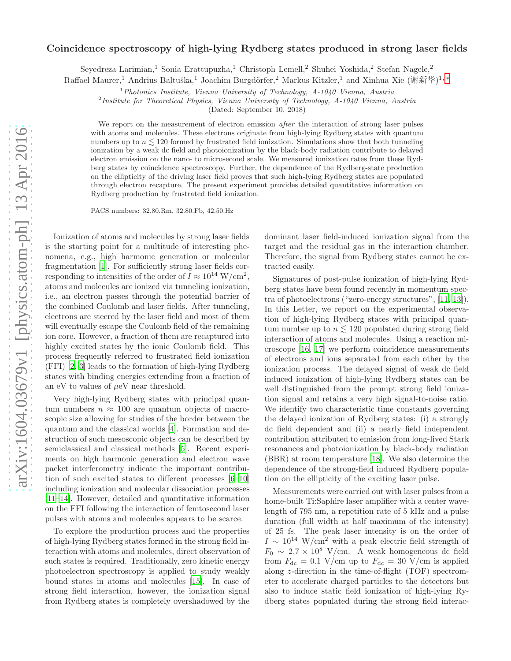## arXiv:1604.03679v1 [physics.atom-ph] 13 Apr 2016 [arXiv:1604.03679v1 \[physics.atom-ph\] 13 Apr 2016](http://arxiv.org/abs/1604.03679v1)

## Coincidence spectroscopy of high-lying Rydberg states produced in strong laser fields

Seyedreza Larimian,<sup>1</sup> Sonia Erattupuzha,<sup>1</sup> Christoph Lemell,<sup>2</sup> Shuhei Yoshida,<sup>2</sup> Stefan Nagele,<sup>2</sup>

Raffael Maurer,<sup>1</sup> Andrius Baltuška,<sup>1</sup> Joachim Burgdörfer,<sup>2</sup> Markus Kitzler,<sup>1</sup> and Xinhua Xie (谢新华)<sup>1,</sup>\*

 $1$ Photonics Institute, Vienna University of Technology, A-1040 Vienna, Austria

<sup>2</sup>Institute for Theoretical Physics, Vienna University of Technology, A-1040 Vienna, Austria

(Dated: September 10, 2018)

We report on the measurement of electron emission *after* the interaction of strong laser pulses with atoms and molecules. These electrons originate from high-lying Rydberg states with quantum numbers up to  $n \leq 120$  formed by frustrated field ionization. Simulations show that both tunneling ionization by a weak dc field and photoionization by the black-body radiation contribute to delayed electron emission on the nano- to microsecond scale. We measured ionization rates from these Rydberg states by coincidence spectroscopy. Further, the dependence of the Rydberg-state production on the ellipticity of the driving laser field proves that such high-lying Rydberg states are populated through electron recapture. The present experiment provides detailed quantitative information on Rydberg production by frustrated field ionization.

PACS numbers: 32.80.Rm, 32.80.Fb, 42.50.Hz

Ionization of atoms and molecules by strong laser fields is the starting point for a multitude of interesting phenomena, e.g., high harmonic generation or molecular fragmentation [\[1\]](#page-4-1). For sufficiently strong laser fields corresponding to intensities of the order of  $I \approx 10^{14} \text{ W/cm}^2$ , atoms and molecules are ionized via tunneling ionization, i.e., an electron passes through the potential barrier of the combined Coulomb and laser fields. After tunneling, electrons are steered by the laser field and most of them will eventually escape the Coulomb field of the remaining ion core. However, a fraction of them are recaptured into highly excited states by the ionic Coulomb field. This process frequently referred to frustrated field ionization (FFI) [\[2](#page-4-2), [3\]](#page-4-3) leads to the formation of high-lying Rydberg states with binding energies extending from a fraction of an eV to values of  $\mu$ eV near threshold.

Very high-lying Rydberg states with principal quantum numbers  $n \approx 100$  are quantum objects of macroscopic size allowing for studies of the border between the quantum and the classical worlds [\[4\]](#page-4-4). Formation and destruction of such mesoscopic objects can be described by semiclassical and classical methods [\[5\]](#page-4-5). Recent experiments on high harmonic generation and electron wave packet interferometry indicate the important contribution of such excited states to different processes [\[6](#page-4-6)[–10\]](#page-4-7) including ionization and molecular dissociation processes [\[11](#page-4-8)[–14\]](#page-4-9). However, detailed and quantitative information on the FFI following the interaction of femtosecond laser pulses with atoms and molecules appears to be scarce.

To explore the production process and the properties of high-lying Rydberg states formed in the strong field interaction with atoms and molecules, direct observation of such states is required. Traditionally, zero kinetic energy photoelectron spectroscopy is applied to study weakly bound states in atoms and molecules [\[15\]](#page-4-10). In case of strong field interaction, however, the ionization signal from Rydberg states is completely overshadowed by the

dominant laser field-induced ionization signal from the target and the residual gas in the interaction chamber. Therefore, the signal from Rydberg states cannot be extracted easily.

Signatures of post-pulse ionization of high-lying Rydberg states have been found recently in momentum spectra of photoelectrons ("zero-energy structures", [\[11](#page-4-8), [13\]](#page-4-11)). In this Letter, we report on the experimental observation of high-lying Rydberg states with principal quantum number up to  $n \leq 120$  populated during strong field interaction of atoms and molecules. Using a reaction microscope [\[16,](#page-4-12) [17](#page-4-13)] we perform coincidence measurements of electrons and ions separated from each other by the ionization process. The delayed signal of weak dc field induced ionization of high-lying Rydberg states can be well distinguished from the prompt strong field ionization signal and retains a very high signal-to-noise ratio. We identify two characteristic time constants governing the delayed ionization of Rydberg states: (i) a strongly dc field dependent and (ii) a nearly field independent contribution attributed to emission from long-lived Stark resonances and photoionization by black-body radiation (BBR) at room temperature [\[18\]](#page-4-14). We also determine the dependence of the strong-field induced Rydberg population on the ellipticity of the exciting laser pulse.

Measurements were carried out with laser pulses from a home-built Ti:Saphire laser amplifier with a center wavelength of 795 nm, a repetition rate of 5 kHz and a pulse duration (full width at half maximum of the intensity) of 25 fs. The peak laser intensity is on the order of  $I \sim 10^{14}$  W/cm<sup>2</sup> with a peak electric field strength of  $F_0 \sim 2.7 \times 10^8$  V/cm. A weak homogeneous dc field from  $F_{\text{dc}} = 0.1$  V/cm up to  $F_{\text{dc}} = 30$  V/cm is applied along z-direction in the time-of-flight (TOF) spectrometer to accelerate charged particles to the detectors but also to induce static field ionization of high-lying Rydberg states populated during the strong field interac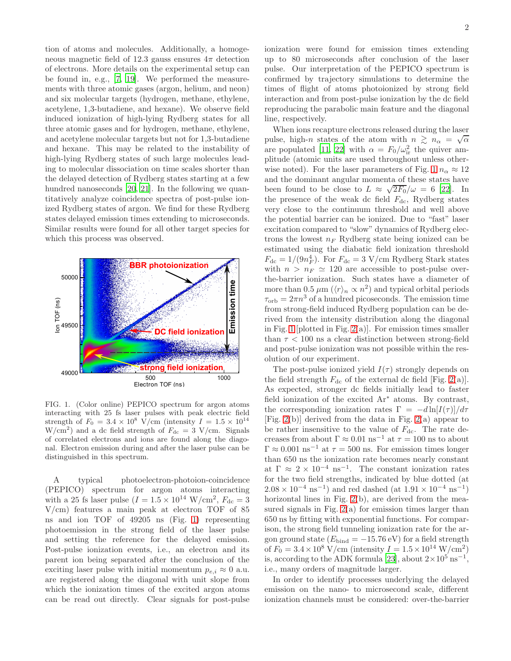tion of atoms and molecules. Additionally, a homogeneous magnetic field of 12.3 gauss ensures  $4\pi$  detection of electrons. More details on the experimental setup can be found in, e.g., [\[7,](#page-4-15) [19](#page-4-16)]. We performed the measurements with three atomic gases (argon, helium, and neon) and six molecular targets (hydrogen, methane, ethylene, acetylene, 1,3-butadiene, and hexane). We observe field induced ionization of high-lying Rydberg states for all three atomic gases and for hydrogen, methane, ethylene, and acetylene molecular targets but not for 1,3-butadiene and hexane. This may be related to the instability of high-lying Rydberg states of such large molecules leading to molecular dissociation on time scales shorter than the delayed detection of Rydberg states starting at a few hundred nanoseconds [\[20,](#page-4-17) [21\]](#page-4-18). In the following we quantitatively analyze coincidence spectra of post-pulse ionized Rydberg states of argon. We find for these Rydberg states delayed emission times extending to microseconds. Similar results were found for all other target species for which this process was observed.



<span id="page-1-0"></span>FIG. 1. (Color online) PEPICO spectrum for argon atoms interacting with 25 fs laser pulses with peak electric field strength of  $F_0 = 3.4 \times 10^8$  V/cm (intensity  $I = 1.5 \times 10^{14}$  $W/cm<sup>2</sup>$  and a dc field strength of  $F_{dc} = 3$  V/cm. Signals of correlated electrons and ions are found along the diagonal. Electron emission during and after the laser pulse can be distinguished in this spectrum.

A typical photoelectron-photoion-coincidence (PEPICO) spectrum for argon atoms interacting with a 25 fs laser pulse  $(I = 1.5 \times 10^{14} \text{ W/cm}^2$ ,  $F_{\text{dc}} = 3$ V/cm) features a main peak at electron TOF of 85 ns and ion TOF of 49205 ns (Fig. [1\)](#page-1-0) representing photoemission in the strong field of the laser pulse and setting the reference for the delayed emission. Post-pulse ionization events, i.e., an electron and its parent ion being separated after the conclusion of the exciting laser pulse with initial momentum  $p_{e,i} \approx 0$  a.u. are registered along the diagonal with unit slope from which the ionization times of the excited argon atoms can be read out directly. Clear signals for post-pulse ionization were found for emission times extending up to 80 microseconds after conclusion of the laser pulse. Our interpretation of the PEPICO spectrum is confirmed by trajectory simulations to determine the times of flight of atoms photoionized by strong field interaction and from post-pulse ionization by the dc field reproducing the parabolic main feature and the diagonal line, respectively.

When ions recapture electrons released during the laser pulse, high-n states of the atom with  $n \geq n_{\alpha} = \sqrt{\alpha}$ are populated [\[11,](#page-4-8) [22\]](#page-4-19) with  $\alpha = F_0/\omega_{ir}^2$  the quiver amplitude (atomic units are used throughout unless other-wise noted). For the laser parameters of Fig. [1](#page-1-0)  $n_{\alpha} \approx 12$ and the dominant angular momenta of these states have been found to be close to  $L \approx \sqrt{2F_0}/\omega = 6$  [\[22\]](#page-4-19). In the presence of the weak dc field  $F_{dc}$ , Rydberg states very close to the continuum threshold and well above the potential barrier can be ionized. Due to "fast" laser excitation compared to "slow" dynamics of Rydberg electrons the lowest  $n_F$  Rydberg state being ionized can be estimated using the diabatic field ionization threshold  $F_{\text{dc}} = 1/(9n_F^4)$ . For  $F_{\text{dc}} = 3 \text{ V/cm}$  Rydberg Stark states with  $n > n_F \simeq 120$  are accessible to post-pulse overthe-barrier ionization. Such states have a diameter of more than 0.5  $\mu$ m ( $\langle r \rangle_n \propto n^2$ ) and typical orbital periods  $\tau_{\rm orb} = 2\pi n^3$  of a hundred picoseconds. The emission time from strong-field induced Rydberg population can be derived from the intensity distribution along the diagonal in Fig. [1](#page-1-0) [plotted in Fig.  $2(a)$ ]. For emission times smaller than  $\tau$  < 100 ns a clear distinction between strong-field and post-pulse ionization was not possible within the resolution of our experiment.

The post-pulse ionized yield  $I(\tau)$  strongly depends on the field strength  $F_{dc}$  of the external dc field [Fig. [2\(](#page-2-0)a)]. As expected, stronger dc fields initially lead to faster field ionization of the excited Ar<sup>∗</sup> atoms. By contrast, the corresponding ionization rates  $\Gamma = -d \ln[I(\tau)]/d\tau$ [Fig. [2\(](#page-2-0)b)] derived from the data in Fig. [2\(](#page-2-0)a) appear to be rather insensitive to the value of  $F_{dc}$ . The rate decreases from about  $\Gamma \approx 0.01 \text{ ns}^{-1}$  at  $\tau = 100 \text{ ns}$  to about  $\Gamma \approx 0.001 \text{ ns}^{-1}$  at  $\tau = 500 \text{ ns}$ . For emission times longer than 650 ns the ionization rate becomes nearly constant at  $\Gamma \approx 2 \times 10^{-4} \text{ ns}^{-1}$ . The constant ionization rates for the two field strengths, indicated by blue dotted (at  $2.08 \times 10^{-4}$  ns<sup>-1</sup>) and red dashed (at  $1.91 \times 10^{-4}$  ns<sup>-1</sup>) horizontal lines in Fig. [2\(](#page-2-0)b), are derived from the measured signals in Fig.  $2(a)$  for emission times larger than 650 ns by fitting with exponential functions. For comparison, the strong field tunneling ionization rate for the argon ground state ( $E_{bind} = -15.76 \text{ eV}$ ) for a field strength of  $F_0 = 3.4 \times 10^8$  V/cm (intensity  $I = 1.5 \times 10^{14}$  W/cm<sup>2</sup>) is, according to the ADK formula [\[23\]](#page-4-20), about  $2 \times 10^{5}$  ns<sup>-1</sup>, i.e., many orders of magnitude larger.

In order to identify processes underlying the delayed emission on the nano- to microsecond scale, different ionization channels must be considered: over-the-barrier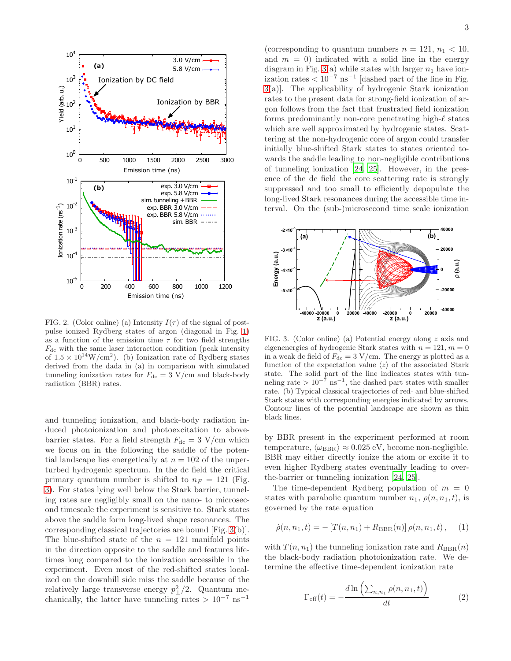

<span id="page-2-0"></span>FIG. 2. (Color online) (a) Intensity  $I(\tau)$  of the signal of postpulse ionized Rydberg states of argon (diagonal in Fig. [1\)](#page-1-0) as a function of the emission time  $\tau$  for two field strengths  $F_{\text{dc}}$  with the same laser interaction condition (peak intensity of  $1.5 \times 10^{14}$ W/cm<sup>2</sup>). (b) Ionization rate of Rydberg states derived from the dada in (a) in comparison with simulated tunneling ionization rates for  $F_{\text{dc}} = 3 \text{ V/cm}$  and black-body radiation (BBR) rates.

and tunneling ionization, and black-body radiation induced photoionization and photoexcitation to abovebarrier states. For a field strength  $F_{\text{dc}} = 3 \text{ V/cm}$  which we focus on in the following the saddle of the potential landscape lies energetically at  $n = 102$  of the unperturbed hydrogenic spectrum. In the dc field the critical primary quantum number is shifted to  $n_F = 121$  (Fig. [3\)](#page-2-1). For states lying well below the Stark barrier, tunneling rates are negligibly small on the nano- to microsecond timescale the experiment is sensitive to. Stark states above the saddle form long-lived shape resonances. The corresponding classical trajectories are bound [Fig. [3\(](#page-2-1)b)]. The blue-shifted state of the  $n = 121$  manifold points in the direction opposite to the saddle and features lifetimes long compared to the ionization accessible in the experiment. Even most of the red-shifted states localized on the downhill side miss the saddle because of the relatively large transverse energy  $p_{\perp}^2/2$ . Quantum mechanically, the latter have tunneling rates >  $10^{-7}$  ns<sup>-1</sup>

(corresponding to quantum numbers  $n = 121$ ,  $n_1 < 10$ , and  $m = 0$ ) indicated with a solid line in the energy diagram in Fig. [3\(](#page-2-1)a) while states with larger  $n_1$  have ionization rates  $\lt 10^{-7}$  ns<sup>-1</sup> [dashed part of the line in Fig. [3\(](#page-2-1)a)]. The applicability of hydrogenic Stark ionization rates to the present data for strong-field ionization of argon follows from the fact that frustrated field ionization forms predominantly non-core penetrating high-ℓ states which are well approximated by hydrogenic states. Scattering at the non-hydrogenic core of argon could transfer initially blue-shifted Stark states to states oriented towards the saddle leading to non-negligible contributions of tunneling ionization [\[24,](#page-4-21) [25](#page-4-22)]. However, in the presence of the dc field the core scattering rate is strongly suppressed and too small to efficiently depopulate the long-lived Stark resonances during the accessible time interval. On the (sub-)microsecond time scale ionization



<span id="page-2-1"></span>FIG. 3. (Color online) (a) Potential energy along z axis and eigenenergies of hydrogenic Stark states with  $n = 121, m = 0$ in a weak dc field of  $F_{\text{dc}} = 3 \text{ V/cm}$ . The energy is plotted as a function of the expectation value  $\langle z \rangle$  of the associated Stark state. The solid part of the line indicates states with tunneling rate >  $10^{-7}$  ns<sup>-1</sup>, the dashed part states with smaller rate. (b) Typical classical trajectories of red- and blue-shifted Stark states with corresponding energies indicated by arrows. Contour lines of the potential landscape are shown as thin black lines.

by BBR present in the experiment performed at room temperature,  $\langle \omega_{\text{BBR}} \rangle \approx 0.025 \text{ eV}$ , become non-negligible. BBR may either directly ionize the atom or excite it to even higher Rydberg states eventually leading to overthe-barrier or tunneling ionization [\[24](#page-4-21), [25](#page-4-22)].

The time-dependent Rydberg population of  $m = 0$ states with parabolic quantum number  $n_1, \rho(n, n_1, t)$ , is governed by the rate equation

$$
\dot{\rho}(n, n_1, t) = -\left[T(n, n_1) + R_{\text{BBR}}(n)\right]\rho(n, n_1, t), \quad (1)
$$

with  $T(n, n_1)$  the tunneling ionization rate and  $R_{\text{BBR}}(n)$ the black-body radiation photoionization rate. We determine the effective time-dependent ionization rate

$$
\Gamma_{\text{eff}}(t) = -\frac{d \ln \left( \sum_{n,n_1} \rho(n, n_1, t) \right)}{dt} \tag{2}
$$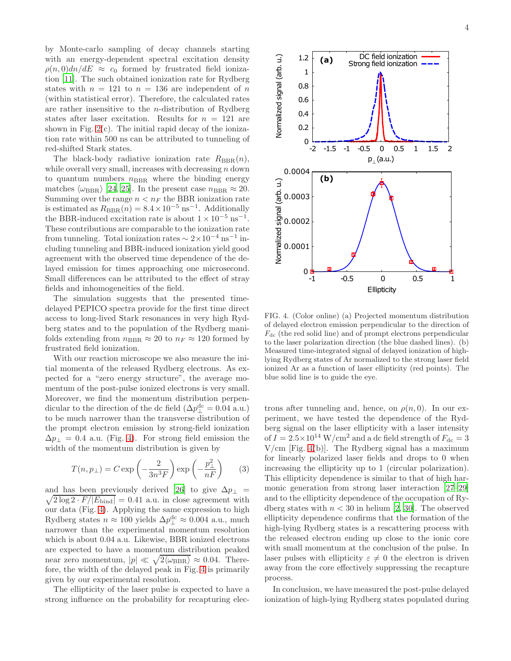by Monte-carlo sampling of decay channels starting with an energy-dependent spectral excitation density  $\rho(n,0)dn/dE \approx c_0$  formed by frustrated field ionization [\[11](#page-4-8)]. The such obtained ionization rate for Rydberg states with  $n = 121$  to  $n = 136$  are independent of n (within statistical error). Therefore, the calculated rates are rather insensitive to the *n*-distribution of Rydberg states after laser excitation. Results for  $n = 121$  are shown in Fig.  $2(c)$ . The initial rapid decay of the ionization rate within 500 ns can be attributed to tunneling of red-shifted Stark states.

The black-body radiative ionization rate  $R_{\text{BBR}}(n)$ , while overall very small, increases with decreasing  $n$  down to quantum numbers  $n<sub>BBR</sub>$  where the binding energy matches  $\langle \omega_{\rm BBR} \rangle$  [\[24,](#page-4-21) [25](#page-4-22)]. In the present case  $n_{\rm BBR} \approx 20$ . Summing over the range  $n < n_F$  the BBR ionization rate is estimated as  $R_{\text{BBR}}(n) = 8.4 \times 10^{-5} \text{ ns}^{-1}$ . Additionally the BBR-induced excitation rate is about  $1 \times 10^{-5}$  ns<sup>-1</sup>. These contributions are comparable to the ionization rate from tunneling. Total ionization rates  $\sim 2 \times 10^{-4}$  ns<sup>-1</sup> including tunneling and BBR-induced ionization yield good agreement with the observed time dependence of the delayed emission for times approaching one microsecond. Small differences can be attributed to the effect of stray fields and inhomogeneities of the field.

The simulation suggests that the presented timedelayed PEPICO spectra provide for the first time direct access to long-lived Stark resonances in very high Rydberg states and to the population of the Rydberg manifolds extending from  $n_{\text{BBR}} \approx 20$  to  $n_F \approx 120$  formed by frustrated field ionization.

With our reaction microscope we also measure the initial momenta of the released Rydberg electrons. As expected for a "zero energy structure", the average momentum of the post-pulse ionized electrons is very small. Moreover, we find the momentum distribution perpendicular to the direction of the dc field  $(\Delta p_{\perp}^{\text{dc}} = 0.04 \text{ a.u.})$ to be much narrower than the transverse distribution of the prompt electron emission by strong-field ionization  $\Delta p_{\perp} = 0.4$  a.u. (Fig. [4\)](#page-3-0). For strong field emission the width of the momentum distribution is given by

$$
T(n, p_{\perp}) = C \exp\left(-\frac{2}{3n^3F}\right) \exp\left(-\frac{p_{\perp}^2}{nF}\right) \tag{3}
$$

and has been previously derived [\[26](#page-4-23)] to give  $\Delta p_{\perp}$  =  $\sqrt{2 \log 2 \cdot F / |E_{\text{bind}}|} = 0.41$  a.u. in close agreement with our data (Fig. [4\)](#page-3-0). Applying the same expression to high Rydberg states  $n \approx 100$  yields  $\Delta p_{\perp}^{\rm dc} \approx 0.004$  a.u., much narrower than the experimental momentum resolution which is about 0.04 a.u. Likewise, BBR ionized electrons are expected to have a momentum distribution peaked near zero momentum,  $|p| \ll \sqrt{2 \langle \omega_{\rm BBR} \rangle} \approx 0.04$ . Therefore, the width of the delayed peak in Fig. [4](#page-3-0) is primarily given by our experimental resolution.

The ellipticity of the laser pulse is expected to have a strong influence on the probability for recapturing elec-



<span id="page-3-0"></span>FIG. 4. (Color online) (a) Projected momentum distribution of delayed electron emission perpendicular to the direction of  $F_{\text{dc}}$  (the red solid line) and of prompt electrons perpendicular to the laser polarization direction (the blue dashed lines). (b) Measured time-integrated signal of delayed ionization of highlying Rydberg states of Ar normalized to the strong laser field ionized Ar as a function of laser ellipticity (red points). The blue solid line is to guide the eye.

trons after tunneling and, hence, on  $\rho(n, 0)$ . In our experiment, we have tested the dependence of the Rydberg signal on the laser ellipticity with a laser intensity of  $I = 2.5 \times 10^{14}$  W/cm<sup>2</sup> and a dc field strength of  $F_{dc} = 3$  $V/cm$  [Fig. [4\(](#page-3-0)b)]. The Rydberg signal has a maximum for linearly polarized laser fields and drops to 0 when increasing the ellipticity up to 1 (circular polarization). This ellipticity dependence is similar to that of high harmonic generation from strong laser interaction [\[27](#page-4-24)[–29\]](#page-4-25) and to the ellipticity dependence of the occupation of Rydberg states with  $n < 30$  in helium [\[2,](#page-4-2) [30\]](#page-4-26). The observed ellipticity dependence confirms that the formation of the high-lying Rydberg states is a rescattering process with the released electron ending up close to the ionic core with small momentum at the conclusion of the pulse. In laser pulses with ellipticity  $\varepsilon \neq 0$  the electron is driven away from the core effectively suppressing the recapture process.

In conclusion, we have measured the post-pulse delayed ionization of high-lying Rydberg states populated during